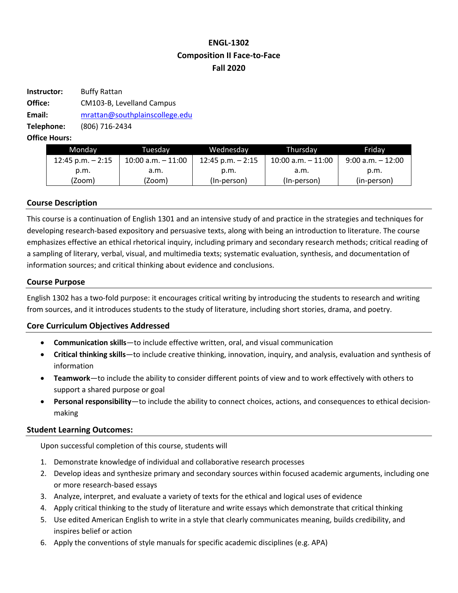# **ENGL-1302 Composition II Face-to-Face Fall 2020**

| Instructor: | <b>Buffy Rattan</b>            |  |  |
|-------------|--------------------------------|--|--|
| Office:     | CM103-B, Levelland Campus      |  |  |
| Email:      | mrattan@southplainscollege.edu |  |  |
| Telephone:  | (806) 716-2434                 |  |  |
|             |                                |  |  |

**Office Hours:** 

| Monday             | Tuesdav               | Wednesday          | Thursdav              | Fridav               |
|--------------------|-----------------------|--------------------|-----------------------|----------------------|
| 12:45 p.m. $-2:15$ | $10:00$ a.m. $-11:00$ | 12:45 p.m. $-2:15$ | $10:00$ a.m. $-11:00$ | $9:00$ a.m. $-12:00$ |
| p.m.               | .a.m                  | p.m.               | a.m.                  | p.m.                 |
| (Zoom)             | (Zoom)                | (In-person)        | (In-person)           | (in-person)          |

### **Course Description**

This course is a continuation of English 1301 and an intensive study of and practice in the strategies and techniques for developing research-based expository and persuasive texts, along with being an introduction to literature. The course emphasizes effective an ethical rhetorical inquiry, including primary and secondary research methods; critical reading of a sampling of literary, verbal, visual, and multimedia texts; systematic evaluation, synthesis, and documentation of information sources; and critical thinking about evidence and conclusions.

#### **Course Purpose**

English 1302 has a two-fold purpose: it encourages critical writing by introducing the students to research and writing from sources, and it introduces students to the study of literature, including short stories, drama, and poetry.

# **Core Curriculum Objectives Addressed**

- **Communication skills**—to include effective written, oral, and visual communication
- **Critical thinking skills**—to include creative thinking, innovation, inquiry, and analysis, evaluation and synthesis of information
- **Teamwork**—to include the ability to consider different points of view and to work effectively with others to support a shared purpose or goal
- **Personal responsibility**—to include the ability to connect choices, actions, and consequences to ethical decisionmaking

# **Student Learning Outcomes:**

Upon successful completion of this course, students will

- 1. Demonstrate knowledge of individual and collaborative research processes
- 2. Develop ideas and synthesize primary and secondary sources within focused academic arguments, including one or more research-based essays
- 3. Analyze, interpret, and evaluate a variety of texts for the ethical and logical uses of evidence
- 4. Apply critical thinking to the study of literature and write essays which demonstrate that critical thinking
- 5. Use edited American English to write in a style that clearly communicates meaning, builds credibility, and inspires belief or action
- 6. Apply the conventions of style manuals for specific academic disciplines (e.g. APA)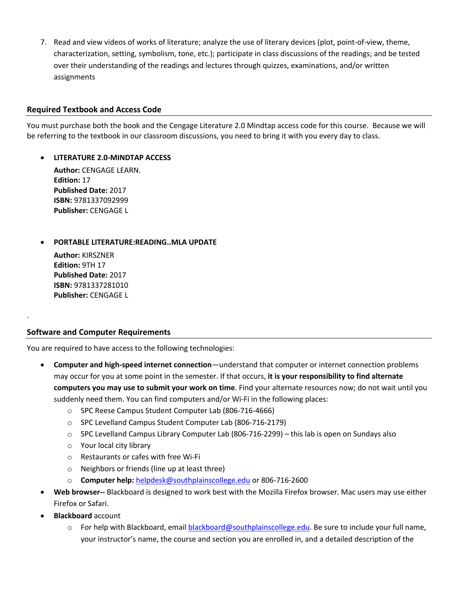7. Read and view videos of works of literature; analyze the use of literary devices (plot, point-of-view, theme, characterization, setting, symbolism, tone, etc.); participate in class discussions of the readings; and be tested over their understanding of the readings and lectures through quizzes, examinations, and/or written assignments

### **Required Textbook and Access Code**

You must purchase both the book and the Cengage Literature 2.0 Mindtap access code for this course. Because we will be referring to the textbook in our classroom discussions, you need to bring it with you every day to class.

#### • **LITERATURE 2.0-MINDTAP ACCESS**

**Author:** CENGAGE LEARN. **Edition:** 17 **Published Date:** 2017 **ISBN:** 9781337092999 **Publisher:** CENGAGE L

### • **PORTABLE LITERATURE:READING..MLA UPDATE**

**Author:** KIRSZNER **Edition:** 9TH 17 **Published Date:** 2017 **ISBN:** 9781337281010 **Publisher:** CENGAGE L

.

#### **Software and Computer Requirements**

You are required to have access to the following technologies:

- **Computer and high-speed internet connection**—understand that computer or internet connection problems may occur for you at some point in the semester. If that occurs, **it is your responsibility to find alternate computers you may use to submit your work on time**. Find your alternate resources now; do not wait until you suddenly need them. You can find computers and/or Wi-Fi in the following places:
	- o SPC Reese Campus Student Computer Lab (806-716-4666)
	- o SPC Levelland Campus Student Computer Lab (806-716-2179)
	- o SPC Levelland Campus Library Computer Lab (806-716-2299) this lab is open on Sundays also
	- o Your local city library
	- o Restaurants or cafes with free Wi-Fi
	- o Neighbors or friends (line up at least three)
	- o **Computer help:** helpdesk@southplainscollege.edu or 806-716-2600
- **Web browser--** Blackboard is designed to work best with the Mozilla Firefox browser. Mac users may use either Firefox or Safari.
- **Blackboard** account
	- o For help with Blackboard, email blackboard@southplainscollege.edu. Be sure to include your full name, your instructor's name, the course and section you are enrolled in, and a detailed description of the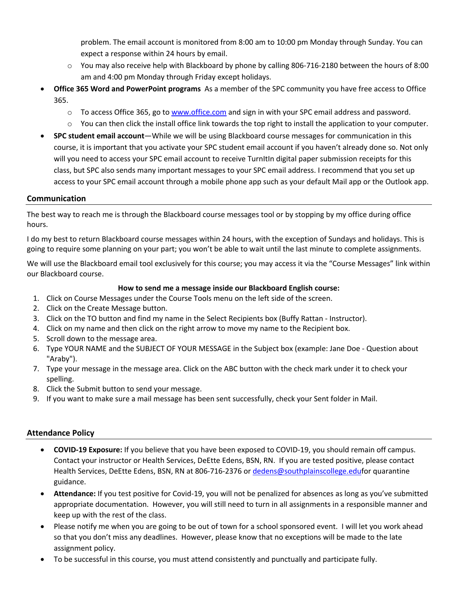problem. The email account is monitored from 8:00 am to 10:00 pm Monday through Sunday. You can expect a response within 24 hours by email.

- o You may also receive help with Blackboard by phone by calling 806-716-2180 between the hours of 8:00 am and 4:00 pm Monday through Friday except holidays.
- **Office 365 Word and PowerPoint programs** As a member of the SPC community you have free access to Office 365.
	- $\circ$  To access Office 365, go to www.office.com and sign in with your SPC email address and password.
	- $\circ$  You can then click the install office link towards the top right to install the application to your computer.
- **SPC student email account**—While we will be using Blackboard course messages for communication in this course, it is important that you activate your SPC student email account if you haven't already done so. Not only will you need to access your SPC email account to receive TurnItIn digital paper submission receipts for this class, but SPC also sends many important messages to your SPC email address. I recommend that you set up access to your SPC email account through a mobile phone app such as your default Mail app or the Outlook app.

### **Communication**

The best way to reach me is through the Blackboard course messages tool or by stopping by my office during office hours.

I do my best to return Blackboard course messages within 24 hours, with the exception of Sundays and holidays. This is going to require some planning on your part; you won't be able to wait until the last minute to complete assignments.

We will use the Blackboard email tool exclusively for this course; you may access it via the "Course Messages" link within our Blackboard course.

#### **How to send me a message inside our Blackboard English course:**

- 1. Click on Course Messages under the Course Tools menu on the left side of the screen.
- 2. Click on the Create Message button.
- 3. Click on the TO button and find my name in the Select Recipients box (Buffy Rattan Instructor).
- 4. Click on my name and then click on the right arrow to move my name to the Recipient box.
- 5. Scroll down to the message area.
- 6. Type YOUR NAME and the SUBJECT OF YOUR MESSAGE in the Subject box (example: Jane Doe Question about "Araby").
- 7. Type your message in the message area. Click on the ABC button with the check mark under it to check your spelling.
- 8. Click the Submit button to send your message.
- 9. If you want to make sure a mail message has been sent successfully, check your Sent folder in Mail.

# **Attendance Policy**

- **COVID-19 Exposure:** If you believe that you have been exposed to COVID-19, you should remain off campus. Contact your instructor or Health Services, DeEtte Edens, BSN, RN. If you are tested positive, please contact Health Services, DeEtte Edens, BSN, RN at 806-716-2376 or dedens@southplainscollege.edufor quarantine guidance.
- **Attendance:** If you test positive for Covid-19, you will not be penalized for absences as long as you've submitted appropriate documentation. However, you will still need to turn in all assignments in a responsible manner and keep up with the rest of the class.
- Please notify me when you are going to be out of town for a school sponsored event. I will let you work ahead so that you don't miss any deadlines. However, please know that no exceptions will be made to the late assignment policy.
- To be successful in this course, you must attend consistently and punctually and participate fully.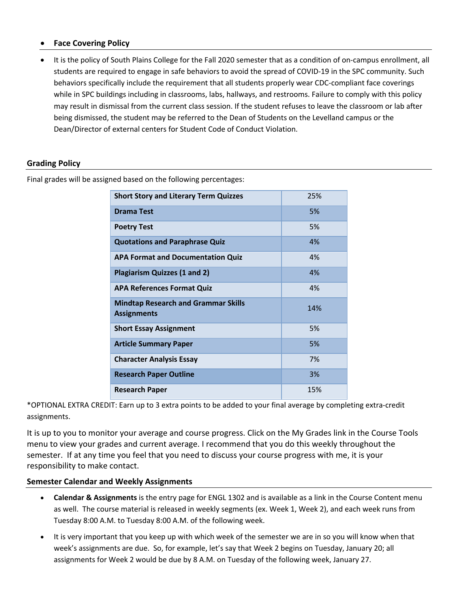### • **Face Covering Policy**

• It is the policy of South Plains College for the Fall 2020 semester that as a condition of on-campus enrollment, all students are required to engage in safe behaviors to avoid the spread of COVID-19 in the SPC community. Such behaviors specifically include the requirement that all students properly wear CDC-compliant face coverings while in SPC buildings including in classrooms, labs, hallways, and restrooms. Failure to comply with this policy may result in dismissal from the current class session. If the student refuses to leave the classroom or lab after being dismissed, the student may be referred to the Dean of Students on the Levelland campus or the Dean/Director of external centers for Student Code of Conduct Violation.

### **Grading Policy**

Final grades will be assigned based on the following percentages:

| <b>Short Story and Literary Term Quizzes</b>                     | 25% |
|------------------------------------------------------------------|-----|
| Drama Test                                                       | 5%  |
| <b>Poetry Test</b>                                               | 5%  |
| <b>Quotations and Paraphrase Quiz</b>                            | 4%  |
| <b>APA Format and Documentation Quiz</b>                         | 4%  |
| Plagiarism Quizzes (1 and 2)                                     | 4%  |
| <b>APA References Format Quiz</b>                                | 4%  |
| <b>Mindtap Research and Grammar Skills</b><br><b>Assignments</b> | 14% |
| <b>Short Essay Assignment</b>                                    | 5%  |
| <b>Article Summary Paper</b>                                     | 5%  |
| <b>Character Analysis Essay</b>                                  | 7%  |
| <b>Research Paper Outline</b>                                    | 3%  |
| <b>Research Paper</b>                                            | 15% |

\*OPTIONAL EXTRA CREDIT: Earn up to 3 extra points to be added to your final average by completing extra-credit assignments.

It is up to you to monitor your average and course progress. Click on the My Grades link in the Course Tools menu to view your grades and current average. I recommend that you do this weekly throughout the semester. If at any time you feel that you need to discuss your course progress with me, it is your responsibility to make contact.

#### **Semester Calendar and Weekly Assignments**

- **Calendar & Assignments** is the entry page for ENGL 1302 and is available as a link in the Course Content menu as well. The course material is released in weekly segments (ex. Week 1, Week 2), and each week runs from Tuesday 8:00 A.M. to Tuesday 8:00 A.M. of the following week.
- It is very important that you keep up with which week of the semester we are in so you will know when that week's assignments are due. So, for example, let's say that Week 2 begins on Tuesday, January 20; all assignments for Week 2 would be due by 8 A.M. on Tuesday of the following week, January 27.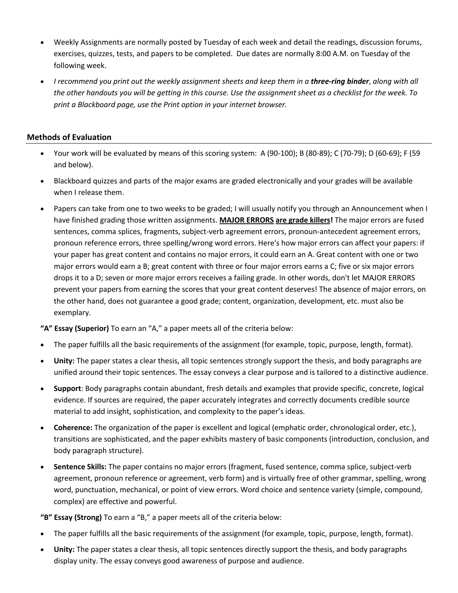- Weekly Assignments are normally posted by Tuesday of each week and detail the readings, discussion forums, exercises, quizzes, tests, and papers to be completed. Due dates are normally 8:00 A.M. on Tuesday of the following week.
- *I recommend you print out the weekly assignment sheets and keep them in a three-ring binder*, *along with all the other handouts you will be getting in this course. Use the assignment sheet as a checklist for the week. To print a Blackboard page, use the Print option in your internet browser.*

### **Methods of Evaluation**

- Your work will be evaluated by means of this scoring system: A (90-100); B (80-89); C (70-79); D (60-69); F (59 and below).
- Blackboard quizzes and parts of the major exams are graded electronically and your grades will be available when I release them.
- Papers can take from one to two weeks to be graded; I will usually notify you through an Announcement when I have finished grading those written assignments. **MAJOR ERRORS are grade killers!** The major errors are fused sentences, comma splices, fragments, subject-verb agreement errors, pronoun-antecedent agreement errors, pronoun reference errors, three spelling/wrong word errors. Here's how major errors can affect your papers: if your paper has great content and contains no major errors, it could earn an A. Great content with one or two major errors would earn a B; great content with three or four major errors earns a C; five or six major errors drops it to a D; seven or more major errors receives a failing grade. In other words, don't let MAJOR ERRORS prevent your papers from earning the scores that your great content deserves! The absence of major errors, on the other hand, does not guarantee a good grade; content, organization, development, etc. must also be exemplary.

**"A" Essay (Superior)** To earn an "A," a paper meets all of the criteria below:

- The paper fulfills all the basic requirements of the assignment (for example, topic, purpose, length, format).
- **Unity:** The paper states a clear thesis, all topic sentences strongly support the thesis, and body paragraphs are unified around their topic sentences. The essay conveys a clear purpose and is tailored to a distinctive audience.
- **Support**: Body paragraphs contain abundant, fresh details and examples that provide specific, concrete, logical evidence. If sources are required, the paper accurately integrates and correctly documents credible source material to add insight, sophistication, and complexity to the paper's ideas.
- **Coherence:** The organization of the paper is excellent and logical (emphatic order, chronological order, etc.), transitions are sophisticated, and the paper exhibits mastery of basic components (introduction, conclusion, and body paragraph structure).
- **Sentence Skills:** The paper contains no major errors (fragment, fused sentence, comma splice, subject-verb agreement, pronoun reference or agreement, verb form) and is virtually free of other grammar, spelling, wrong word, punctuation, mechanical, or point of view errors. Word choice and sentence variety (simple, compound, complex) are effective and powerful.

**"B" Essay (Strong)** To earn a "B," a paper meets all of the criteria below:

- The paper fulfills all the basic requirements of the assignment (for example, topic, purpose, length, format).
- **Unity:** The paper states a clear thesis, all topic sentences directly support the thesis, and body paragraphs display unity. The essay conveys good awareness of purpose and audience.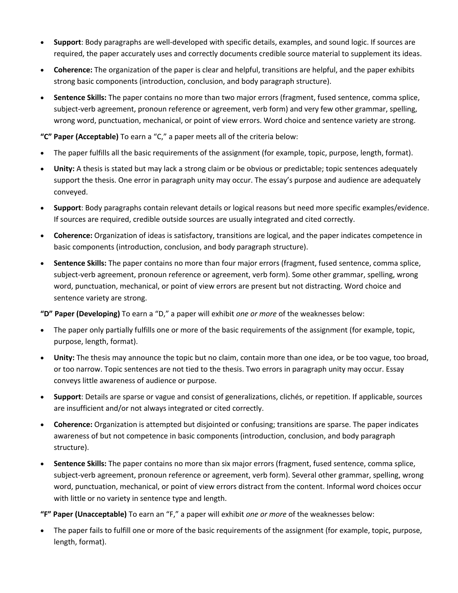- **Support**: Body paragraphs are well-developed with specific details, examples, and sound logic. If sources are required, the paper accurately uses and correctly documents credible source material to supplement its ideas.
- **Coherence:** The organization of the paper is clear and helpful, transitions are helpful, and the paper exhibits strong basic components (introduction, conclusion, and body paragraph structure).
- **Sentence Skills:** The paper contains no more than two major errors (fragment, fused sentence, comma splice, subject-verb agreement, pronoun reference or agreement, verb form) and very few other grammar, spelling, wrong word, punctuation, mechanical, or point of view errors. Word choice and sentence variety are strong.

**"C" Paper (Acceptable)** To earn a "C," a paper meets all of the criteria below:

- The paper fulfills all the basic requirements of the assignment (for example, topic, purpose, length, format).
- **Unity:** A thesis is stated but may lack a strong claim or be obvious or predictable; topic sentences adequately support the thesis. One error in paragraph unity may occur. The essay's purpose and audience are adequately conveyed.
- **Support**: Body paragraphs contain relevant details or logical reasons but need more specific examples/evidence. If sources are required, credible outside sources are usually integrated and cited correctly.
- **Coherence:** Organization of ideas is satisfactory, transitions are logical, and the paper indicates competence in basic components (introduction, conclusion, and body paragraph structure).
- **Sentence Skills:** The paper contains no more than four major errors (fragment, fused sentence, comma splice, subject-verb agreement, pronoun reference or agreement, verb form). Some other grammar, spelling, wrong word, punctuation, mechanical, or point of view errors are present but not distracting. Word choice and sentence variety are strong.

**"D" Paper (Developing)** To earn a "D," a paper will exhibit *one or more* of the weaknesses below:

- The paper only partially fulfills one or more of the basic requirements of the assignment (for example, topic, purpose, length, format).
- **Unity:** The thesis may announce the topic but no claim, contain more than one idea, or be too vague, too broad, or too narrow. Topic sentences are not tied to the thesis. Two errors in paragraph unity may occur. Essay conveys little awareness of audience or purpose.
- **Support**: Details are sparse or vague and consist of generalizations, clichés, or repetition. If applicable, sources are insufficient and/or not always integrated or cited correctly.
- **Coherence:** Organization is attempted but disjointed or confusing; transitions are sparse. The paper indicates awareness of but not competence in basic components (introduction, conclusion, and body paragraph structure).
- **Sentence Skills:** The paper contains no more than six major errors (fragment, fused sentence, comma splice, subject-verb agreement, pronoun reference or agreement, verb form). Several other grammar, spelling, wrong word, punctuation, mechanical, or point of view errors distract from the content. Informal word choices occur with little or no variety in sentence type and length.

**"F" Paper (Unacceptable)** To earn an "F," a paper will exhibit *one or more* of the weaknesses below:

• The paper fails to fulfill one or more of the basic requirements of the assignment (for example, topic, purpose, length, format).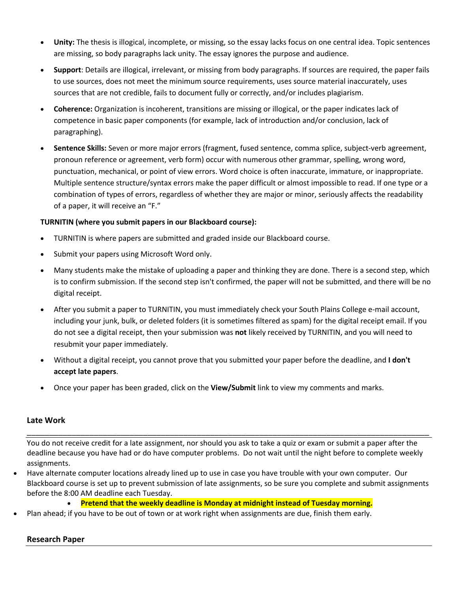- **Unity:** The thesis is illogical, incomplete, or missing, so the essay lacks focus on one central idea. Topic sentences are missing, so body paragraphs lack unity. The essay ignores the purpose and audience.
- **Support**: Details are illogical, irrelevant, or missing from body paragraphs. If sources are required, the paper fails to use sources, does not meet the minimum source requirements, uses source material inaccurately, uses sources that are not credible, fails to document fully or correctly, and/or includes plagiarism.
- **Coherence:** Organization is incoherent, transitions are missing or illogical, or the paper indicates lack of competence in basic paper components (for example, lack of introduction and/or conclusion, lack of paragraphing).
- **Sentence Skills:** Seven or more major errors (fragment, fused sentence, comma splice, subject-verb agreement, pronoun reference or agreement, verb form) occur with numerous other grammar, spelling, wrong word, punctuation, mechanical, or point of view errors. Word choice is often inaccurate, immature, or inappropriate. Multiple sentence structure/syntax errors make the paper difficult or almost impossible to read. If one type or a combination of types of errors, regardless of whether they are major or minor, seriously affects the readability of a paper, it will receive an "F."

# **TURNITIN (where you submit papers in our Blackboard course):**

- TURNITIN is where papers are submitted and graded inside our Blackboard course.
- Submit your papers using Microsoft Word only.
- Many students make the mistake of uploading a paper and thinking they are done. There is a second step, which is to confirm submission. If the second step isn't confirmed, the paper will not be submitted, and there will be no digital receipt.
- After you submit a paper to TURNITIN, you must immediately check your South Plains College e-mail account, including your junk, bulk, or deleted folders (it is sometimes filtered as spam) for the digital receipt email. If you do not see a digital receipt, then your submission was **not** likely received by TURNITIN, and you will need to resubmit your paper immediately.
- Without a digital receipt, you cannot prove that you submitted your paper before the deadline, and **I don't accept late papers**.
- Once your paper has been graded, click on the **View/Submit** link to view my comments and marks.

#### **Late Work**

You do not receive credit for a late assignment, nor should you ask to take a quiz or exam or submit a paper after the deadline because you have had or do have computer problems. Do not wait until the night before to complete weekly assignments.

\_\_\_\_\_\_\_\_\_\_\_\_\_\_\_\_\_\_\_\_\_\_\_\_\_\_\_\_\_\_\_\_\_\_\_\_\_\_\_\_\_\_\_\_\_\_\_\_\_\_\_\_\_\_\_\_\_\_\_\_\_\_\_\_\_\_\_\_\_\_\_\_\_\_\_\_\_\_\_\_\_\_\_\_\_\_\_\_\_\_

- Have alternate computer locations already lined up to use in case you have trouble with your own computer. Our Blackboard course is set up to prevent submission of late assignments, so be sure you complete and submit assignments before the 8:00 AM deadline each Tuesday.
	- **Pretend that the weekly deadline is Monday at midnight instead of Tuesday morning.**
	- Plan ahead; if you have to be out of town or at work right when assignments are due, finish them early.

#### **Research Paper**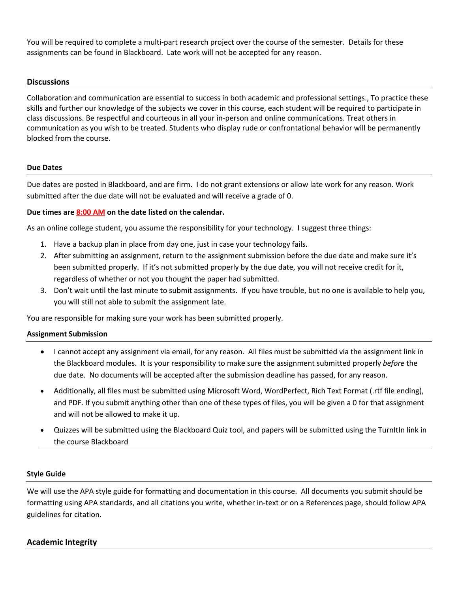You will be required to complete a multi-part research project over the course of the semester. Details for these assignments can be found in Blackboard. Late work will not be accepted for any reason.

### **Discussions**

Collaboration and communication are essential to success in both academic and professional settings., To practice these skills and further our knowledge of the subjects we cover in this course, each student will be required to participate in class discussions. Be respectful and courteous in all your in-person and online communications. Treat others in communication as you wish to be treated. Students who display rude or confrontational behavior will be permanently blocked from the course.

#### **Due Dates**

Due dates are posted in Blackboard, and are firm. I do not grant extensions or allow late work for any reason. Work submitted after the due date will not be evaluated and will receive a grade of 0.

#### **Due times are 8:00 AM on the date listed on the calendar.**

As an online college student, you assume the responsibility for your technology. I suggest three things:

- 1. Have a backup plan in place from day one, just in case your technology fails.
- 2. After submitting an assignment, return to the assignment submission before the due date and make sure it's been submitted properly. If it's not submitted properly by the due date, you will not receive credit for it, regardless of whether or not you thought the paper had submitted.
- 3. Don't wait until the last minute to submit assignments. If you have trouble, but no one is available to help you, you will still not able to submit the assignment late.

You are responsible for making sure your work has been submitted properly.

#### **Assignment Submission**

- I cannot accept any assignment via email, for any reason. All files must be submitted via the assignment link in the Blackboard modules. It is your responsibility to make sure the assignment submitted properly *before* the due date. No documents will be accepted after the submission deadline has passed, for any reason.
- Additionally, all files must be submitted using Microsoft Word, WordPerfect, Rich Text Format (.rtf file ending), and PDF. If you submit anything other than one of these types of files, you will be given a 0 for that assignment and will not be allowed to make it up.
- Quizzes will be submitted using the Blackboard Quiz tool, and papers will be submitted using the TurnItIn link in the course Blackboard

#### **Style Guide**

We will use the APA style guide for formatting and documentation in this course. All documents you submit should be formatting using APA standards, and all citations you write, whether in-text or on a References page, should follow APA guidelines for citation.

# **Academic Integrity**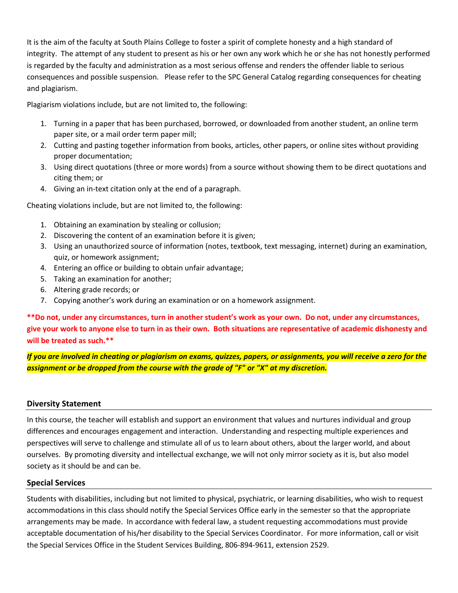It is the aim of the faculty at South Plains College to foster a spirit of complete honesty and a high standard of integrity. The attempt of any student to present as his or her own any work which he or she has not honestly performed is regarded by the faculty and administration as a most serious offense and renders the offender liable to serious consequences and possible suspension. Please refer to the SPC General Catalog regarding consequences for cheating and plagiarism.

Plagiarism violations include, but are not limited to, the following:

- 1. Turning in a paper that has been purchased, borrowed, or downloaded from another student, an online term paper site, or a mail order term paper mill;
- 2. Cutting and pasting together information from books, articles, other papers, or online sites without providing proper documentation;
- 3. Using direct quotations (three or more words) from a source without showing them to be direct quotations and citing them; or
- 4. Giving an in-text citation only at the end of a paragraph.

Cheating violations include, but are not limited to, the following:

- 1. Obtaining an examination by stealing or collusion;
- 2. Discovering the content of an examination before it is given;
- 3. Using an unauthorized source of information (notes, textbook, text messaging, internet) during an examination, quiz, or homework assignment;
- 4. Entering an office or building to obtain unfair advantage;
- 5. Taking an examination for another;
- 6. Altering grade records; or
- 7. Copying another's work during an examination or on a homework assignment.

**\*\*Do not, under any circumstances, turn in another student's work as your own. Do not, under any circumstances, give your work to anyone else to turn in as their own. Both situations are representative of academic dishonesty and will be treated as such.\*\***

*If you are involved in cheating or plagiarism on exams, quizzes, papers, or assignments, you will receive a zero for the assignment or be dropped from the course with the grade of "F" or "X" at my discretion.*

#### **Diversity Statement**

In this course, the teacher will establish and support an environment that values and nurtures individual and group differences and encourages engagement and interaction. Understanding and respecting multiple experiences and perspectives will serve to challenge and stimulate all of us to learn about others, about the larger world, and about ourselves. By promoting diversity and intellectual exchange, we will not only mirror society as it is, but also model society as it should be and can be.

#### **Special Services**

Students with disabilities, including but not limited to physical, psychiatric, or learning disabilities, who wish to request accommodations in this class should notify the Special Services Office early in the semester so that the appropriate arrangements may be made. In accordance with federal law, a student requesting accommodations must provide acceptable documentation of his/her disability to the Special Services Coordinator. For more information, call or visit the Special Services Office in the Student Services Building, 806-894-9611, extension 2529.